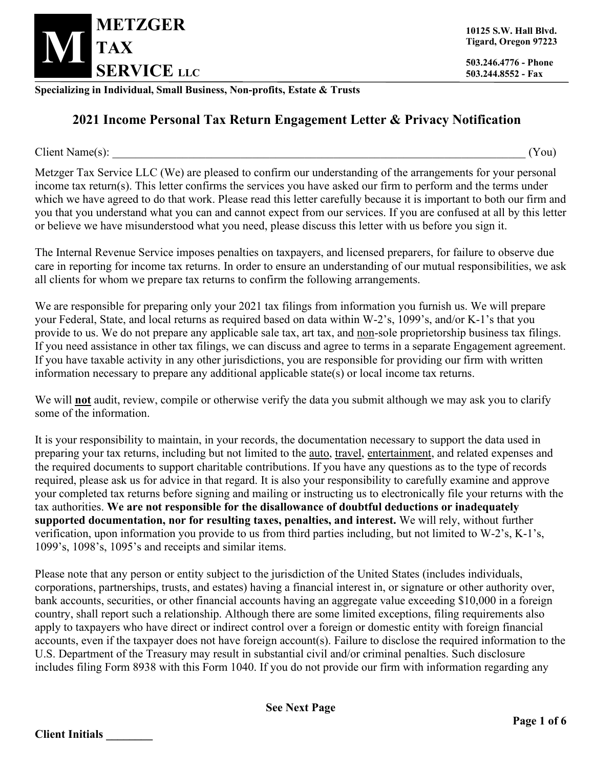

**10125 S.W. Hall Blvd. Tigard, Oregon 97223**

**503.244.8552 - Fax**

**Specializing in Individual, Small Business, Non-profits, Estate & Trusts**

## **2021 Income Personal Tax Return Engagement Letter & Privacy Notification**

 $Client \ Name(s):$  (You)

Metzger Tax Service LLC (We) are pleased to confirm our understanding of the arrangements for your personal income tax return(s). This letter confirms the services you have asked our firm to perform and the terms under which we have agreed to do that work. Please read this letter carefully because it is important to both our firm and you that you understand what you can and cannot expect from our services. If you are confused at all by this letter or believe we have misunderstood what you need, please discuss this letter with us before you sign it.

The Internal Revenue Service imposes penalties on taxpayers, and licensed preparers, for failure to observe due care in reporting for income tax returns. In order to ensure an understanding of our mutual responsibilities, we ask all clients for whom we prepare tax returns to confirm the following arrangements.

We are responsible for preparing only your 2021 tax filings from information you furnish us. We will prepare your Federal, State, and local returns as required based on data within W-2's, 1099's, and/or K-1's that you provide to us. We do not prepare any applicable sale tax, art tax, and non-sole proprietorship business tax filings. If you need assistance in other tax filings, we can discuss and agree to terms in a separate Engagement agreement. If you have taxable activity in any other jurisdictions, you are responsible for providing our firm with written information necessary to prepare any additional applicable state(s) or local income tax returns.

We will **not** audit, review, compile or otherwise verify the data you submit although we may ask you to clarify some of the information.

It is your responsibility to maintain, in your records, the documentation necessary to support the data used in preparing your tax returns, including but not limited to the auto, travel, entertainment, and related expenses and the required documents to support charitable contributions. If you have any questions as to the type of records required, please ask us for advice in that regard. It is also your responsibility to carefully examine and approve your completed tax returns before signing and mailing or instructing us to electronically file your returns with the tax authorities. **We are not responsible for the disallowance of doubtful deductions or inadequately supported documentation, nor for resulting taxes, penalties, and interest.** We will rely, without further verification, upon information you provide to us from third parties including, but not limited to W-2's, K-1's, 1099's, 1098's, 1095's and receipts and similar items.

Please note that any person or entity subject to the jurisdiction of the United States (includes individuals, corporations, partnerships, trusts, and estates) having a financial interest in, or signature or other authority over, bank accounts, securities, or other financial accounts having an aggregate value exceeding \$10,000 in a foreign country, shall report such a relationship. Although there are some limited exceptions, filing requirements also apply to taxpayers who have direct or indirect control over a foreign or domestic entity with foreign financial accounts, even if the taxpayer does not have foreign account(s). Failure to disclose the required information to the U.S. Department of the Treasury may result in substantial civil and/or criminal penalties. Such disclosure includes filing Form 8938 with this Form 1040. If you do not provide our firm with information regarding any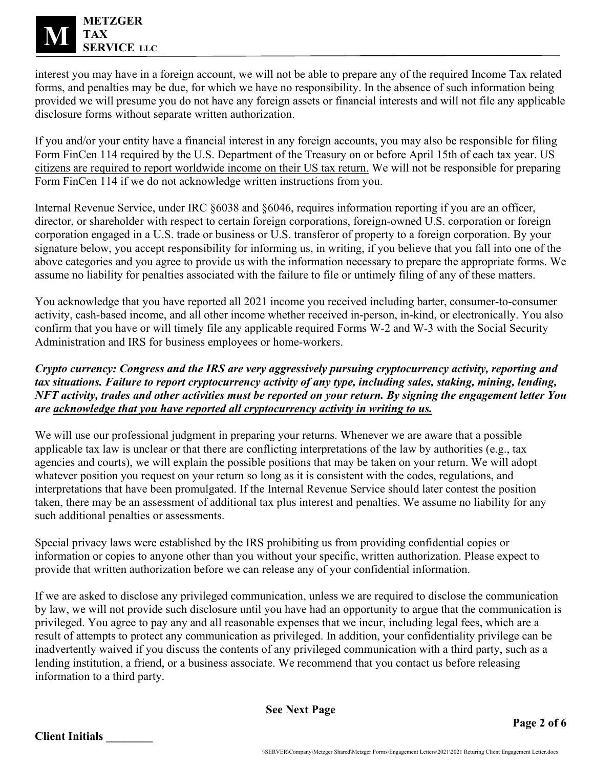

interest you may have in a foreign account, we will not be able to prepare any of the required Income Tax related forms, and penalties may be due, for which we have no responsibility. In the absence of such information being provided we will presume you do not have any foreign assets or financial interests and will not file any applicable disclosure forms without separate written authorization.

If you and/or your entity have a financial interest in any foreign accounts, you may also be responsible for filing Form FinCen 114 required by the U.S. Department of the Treasury on or before April 15th of each tax year. US citizens are required to report worldwide income on their US tax return. We will not be responsible for preparing Form FinCen 114 if we do not acknowledge written instructions from you.

Internal Revenue Service, under IRC §6038 and §6046, requires information reporting if you are an officer, director, or shareholder with respect to certain foreign corporations, foreign-owned U.S. corporation or foreign corporation engaged in a U.S. trade or business or U.S. transferor of property to a foreign corporation. By your signature below, you accept responsibility for informing us, in writing, if you believe that you fall into one of the above categories and you agree to provide us with the information necessary to prepare the appropriate forms. We assume no liability for penalties associated with the failure to file or untimely filing of any of these matters.

You acknowledge that you have reported all 2021 income you received including barter, consumer-to-consumer activity, cash-based income, and all other income whether received in-person, in-kind, or electronically. You also confirm that you have or will timely file any applicable required Forms W-2 and W-3 with the Social Security Administration and IRS for business employees or home-workers.

*Crypto currency: Congress and the IRS are very aggressively pursuing cryptocurrency activity, reporting and tax situations. Failure to report cryptocurrency activity of any type, including sales, staking, mining, lending, NFT activity, trades and other activities must be reported on your return. By signing the engagement letter You are acknowledge that you have reported all cryptocurrency activity in writing to us.*

We will use our professional judgment in preparing your returns. Whenever we are aware that a possible applicable tax law is unclear or that there are conflicting interpretations of the law by authorities (e.g., tax agencies and courts), we will explain the possible positions that may be taken on your return. We will adopt whatever position you request on your return so long as it is consistent with the codes, regulations, and interpretations that have been promulgated. If the Internal Revenue Service should later contest the position taken, there may be an assessment of additional tax plus interest and penalties. We assume no liability for any such additional penalties or assessments.

Special privacy laws were established by the IRS prohibiting us from providing confidential copies or information or copies to anyone other than you without your specific, written authorization. Please expect to provide that written authorization before we can release any of your confidential information.

If we are asked to disclose any privileged communication, unless we are required to disclose the communication by law, we will not provide such disclosure until you have had an opportunity to argue that the communication is privileged. You agree to pay any and all reasonable expenses that we incur, including legal fees, which are a result of attempts to protect any communication as privileged. In addition, your confidentiality privilege can be inadvertently waived if you discuss the contents of any privileged communication with a third party, such as a lending institution, a friend, or a business associate. We recommend that you contact us before releasing information to a third party.

**See Next Page**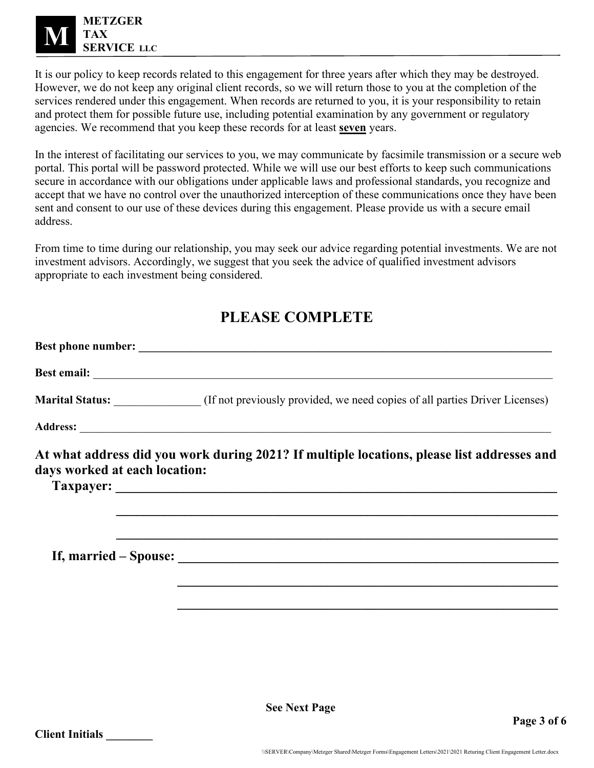

It is our policy to keep records related to this engagement for three years after which they may be destroyed. However, we do not keep any original client records, so we will return those to you at the completion of the services rendered under this engagement. When records are returned to you, it is your responsibility to retain and protect them for possible future use, including potential examination by any government or regulatory agencies. We recommend that you keep these records for at least **seven** years.

In the interest of facilitating our services to you, we may communicate by facsimile transmission or a secure web portal. This portal will be password protected. While we will use our best efforts to keep such communications secure in accordance with our obligations under applicable laws and professional standards, you recognize and accept that we have no control over the unauthorized interception of these communications once they have been sent and consent to our use of these devices during this engagement. Please provide us with a secure email address.

From time to time during our relationship, you may seek our advice regarding potential investments. We are not investment advisors. Accordingly, we suggest that you seek the advice of qualified investment advisors appropriate to each investment being considered.

## **PLEASE COMPLETE**

|                               | Marital Status: (If not previously provided, we need copies of all parties Driver Licenses)                                                                                                                         |
|-------------------------------|---------------------------------------------------------------------------------------------------------------------------------------------------------------------------------------------------------------------|
|                               |                                                                                                                                                                                                                     |
| days worked at each location: | At what address did you work during 2021? If multiple locations, please list addresses and<br><u> 1989 - Johann Johann Stoff, deutscher Stoff, der Stoff, der Stoff, der Stoff, der Stoff, der Stoff, der Stoff</u> |
|                               |                                                                                                                                                                                                                     |
|                               |                                                                                                                                                                                                                     |

**See Next Page**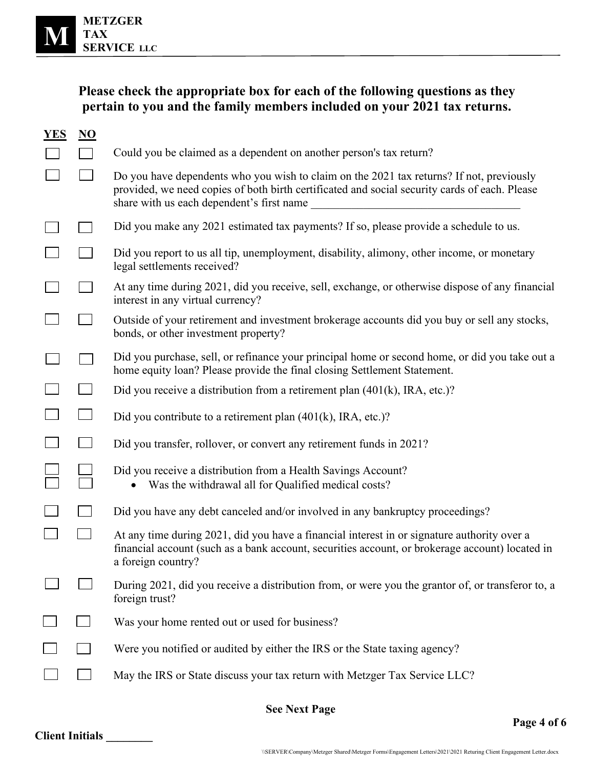| Please check the appropriate box for each of the following questions as they |
|------------------------------------------------------------------------------|
| pertain to you and the family members included on your 2021 tax returns.     |

| <b>YES</b>           | N <sub>O</sub> |                                                                                                                                                                                                                                        |  |  |
|----------------------|----------------|----------------------------------------------------------------------------------------------------------------------------------------------------------------------------------------------------------------------------------------|--|--|
|                      |                | Could you be claimed as a dependent on another person's tax return?                                                                                                                                                                    |  |  |
|                      |                | Do you have dependents who you wish to claim on the 2021 tax returns? If not, previously<br>provided, we need copies of both birth certificated and social security cards of each. Please<br>share with us each dependent's first name |  |  |
|                      |                | Did you make any 2021 estimated tax payments? If so, please provide a schedule to us.                                                                                                                                                  |  |  |
|                      |                | Did you report to us all tip, unemployment, disability, alimony, other income, or monetary<br>legal settlements received?                                                                                                              |  |  |
|                      |                | At any time during 2021, did you receive, sell, exchange, or otherwise dispose of any financial<br>interest in any virtual currency?                                                                                                   |  |  |
|                      |                | Outside of your retirement and investment brokerage accounts did you buy or sell any stocks,<br>bonds, or other investment property?                                                                                                   |  |  |
|                      |                | Did you purchase, sell, or refinance your principal home or second home, or did you take out a<br>home equity loan? Please provide the final closing Settlement Statement.                                                             |  |  |
|                      |                | Did you receive a distribution from a retirement plan $(401(k)$ , IRA, etc.)?                                                                                                                                                          |  |  |
|                      |                | Did you contribute to a retirement plan $(401(k), \text{IRA}, \text{etc.})$ ?                                                                                                                                                          |  |  |
|                      |                | Did you transfer, rollover, or convert any retirement funds in 2021?                                                                                                                                                                   |  |  |
|                      |                | Did you receive a distribution from a Health Savings Account?<br>Was the withdrawal all for Qualified medical costs?                                                                                                                   |  |  |
|                      |                | Did you have any debt canceled and/or involved in any bankruptcy proceedings?                                                                                                                                                          |  |  |
|                      |                | At any time during 2021, did you have a financial interest in or signature authority over a<br>financial account (such as a bank account, securities account, or brokerage account) located in<br>a foreign country?                   |  |  |
|                      |                | During 2021, did you receive a distribution from, or were you the grantor of, or transferor to, a<br>foreign trust?                                                                                                                    |  |  |
|                      |                | Was your home rented out or used for business?                                                                                                                                                                                         |  |  |
|                      |                | Were you notified or audited by either the IRS or the State taxing agency?                                                                                                                                                             |  |  |
|                      |                | May the IRS or State discuss your tax return with Metzger Tax Service LLC?                                                                                                                                                             |  |  |
| <b>See Next Page</b> |                |                                                                                                                                                                                                                                        |  |  |

**Page 4 of 6**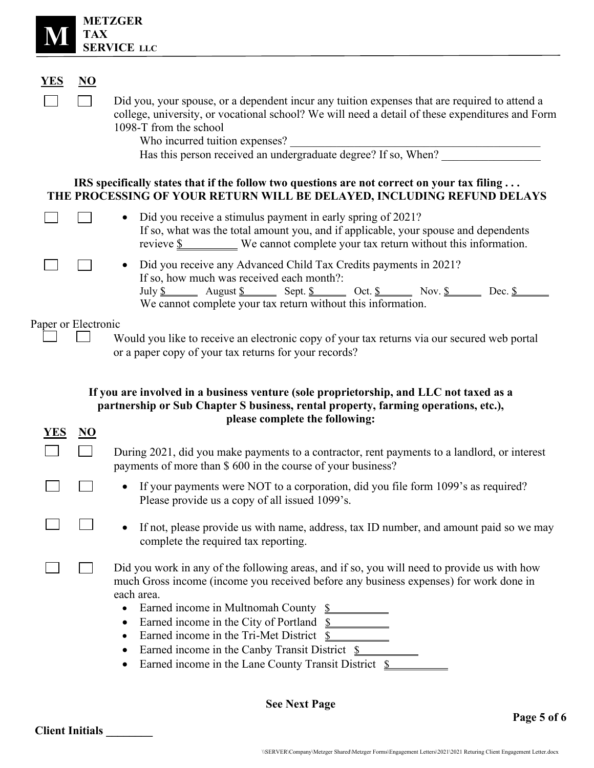| <b>METZGER</b><br><b>TAX</b><br><b>SERVICE LLC</b> |                           |                                                                                                                                                                                                                                                                                                                                                                                                                                                                             |  |
|----------------------------------------------------|---------------------------|-----------------------------------------------------------------------------------------------------------------------------------------------------------------------------------------------------------------------------------------------------------------------------------------------------------------------------------------------------------------------------------------------------------------------------------------------------------------------------|--|
|                                                    |                           |                                                                                                                                                                                                                                                                                                                                                                                                                                                                             |  |
| YES                                                | $\underline{\mathbf{NO}}$ |                                                                                                                                                                                                                                                                                                                                                                                                                                                                             |  |
|                                                    |                           | Did you, your spouse, or a dependent incur any tuition expenses that are required to attend a<br>college, university, or vocational school? We will need a detail of these expenditures and Form<br>1098-T from the school<br>Who incurred tuition expenses?                                                                                                                                                                                                                |  |
|                                                    |                           | IRS specifically states that if the follow two questions are not correct on your tax filing<br>THE PROCESSING OF YOUR RETURN WILL BE DELAYED, INCLUDING REFUND DELAYS                                                                                                                                                                                                                                                                                                       |  |
|                                                    |                           | Did you receive a stimulus payment in early spring of 2021?<br>$\bullet$<br>If so, what was the total amount you, and if applicable, your spouse and dependents<br>revieve $\underline{\$$ We cannot complete your tax return without this information.                                                                                                                                                                                                                     |  |
|                                                    |                           | Did you receive any Advanced Child Tax Credits payments in 2021?<br>$\bullet$<br>If so, how much was received each month?:<br>July $\underline{\$$ August $\underline{\$}$ Sept. $\underline{\$}$ Oct. $\underline{\$}$ Nov. $\underline{\$}$ Dec. $\underline{\$}$<br>We cannot complete your tax return without this information.                                                                                                                                         |  |
| Paper or Electronic                                |                           |                                                                                                                                                                                                                                                                                                                                                                                                                                                                             |  |
|                                                    |                           | Would you like to receive an electronic copy of your tax returns via our secured web portal<br>or a paper copy of your tax returns for your records?                                                                                                                                                                                                                                                                                                                        |  |
|                                                    |                           | If you are involved in a business venture (sole proprietorship, and LLC not taxed as a<br>partnership or Sub Chapter S business, rental property, farming operations, etc.),                                                                                                                                                                                                                                                                                                |  |
| YES                                                | NO                        | please complete the following:                                                                                                                                                                                                                                                                                                                                                                                                                                              |  |
|                                                    |                           | During 2021, did you make payments to a contractor, rent payments to a landlord, or interest<br>payments of more than \$600 in the course of your business?                                                                                                                                                                                                                                                                                                                 |  |
|                                                    |                           | If your payments were NOT to a corporation, did you file form 1099's as required?<br>Please provide us a copy of all issued 1099's.                                                                                                                                                                                                                                                                                                                                         |  |
|                                                    |                           | If not, please provide us with name, address, tax ID number, and amount paid so we may<br>complete the required tax reporting.                                                                                                                                                                                                                                                                                                                                              |  |
|                                                    |                           | Did you work in any of the following areas, and if so, you will need to provide us with how<br>much Gross income (income you received before any business expenses) for work done in<br>each area.<br>Earned income in Multnomah County \$<br>$\bullet$<br>Earned income in the City of Portland \$<br>$\bullet$<br>Earned income in the Tri-Met District \$<br>٠<br>Earned income in the Canby Transit District \$<br>Earned income in the Lane County Transit District \$ |  |

**See Next Page**